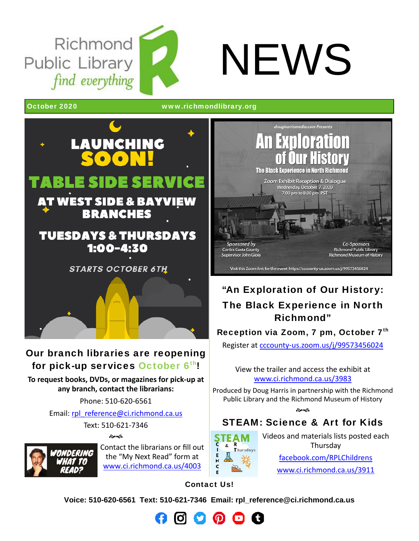Richmond Public Library find everything





October 2020 www.richmondlibrary.org



## Our branch libraries are reopening for pick-up services October 6th!

**To request books, DVDs, or magazines for pick‐up at any branch, contact the librarians:**

Phone: 510‐620‐6561

Email: rpl\_reference@ci.richmond.ca.us

Text: 510‐621‐7346

�ক



Contact the librarians or fill out the "My Next Read" form at www.ci.richmond.ca.us/4003



# "An Exploration of Our History: The Black Experience in North Richmond"

### Reception via Zoom,  $7$  pm, October  $7<sup>th</sup>$

Register at cccounty‐us.zoom.us/j/99573456024

View the trailer and access the exhibit at www.ci.richmond.ca.us/3983

Produced by Doug Harris in partnership with the Richmond Public Library and the Richmond Museum of History

**Book** 

# STEAM: Science & Art for Kids



Videos and materials lists posted each Thursday facebook.com/RPLChildrens www.ci.richmond.ca.us/3911

Contact Us!

**Voice: 510-620-6561 Text: 510-621-7346 Email: rpl\_reference@ci.richmond.ca.us** 

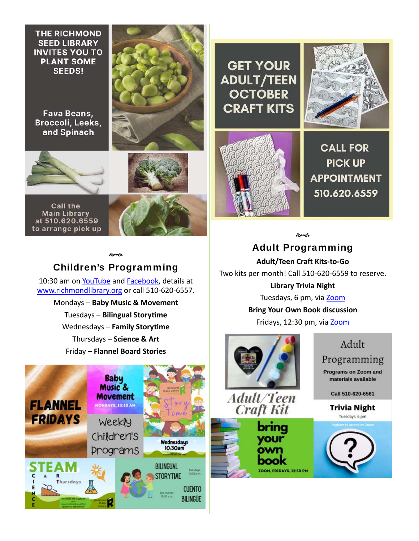**THE RICHMOND SEED LIBRARY INVITES YOU TO PLANT SOME SEEDS!** 

**Fava Beans.** Broccoli, Leeks, and Spinach





**Call the Main Library** at 510.620.6559 to arrange pick up



#### �ক

#### Children's Programming

10:30 am on YouTube and Facebook, details at www.richmondlibrary.org or call 510‐620‐6557.

> Mondays – **Baby Music & Movement Tuesdays - Bilingual Storytime Wednesdays – Family Storytime** Thursdays – **Science & Art** Friday – **Flannel Board Stories**



**GET YOUR ADULT/TEEN OCTOBER CRAFT KITS** 





**CALL FOR PICK UP APPOINTMENT** 510.620.6559

సౌవ

Adult Programming **Adult/Teen Craft Kits-to-Go** Two kits per month! Call 510‐620‐6559 to reserve. **Library Trivia Night** Tuesdays, 6 pm, via Zoom **Bring Your Own Book discussion**

Fridays, 12:30 pm, via Zoom



Adult/Teen **Craft Kit** 



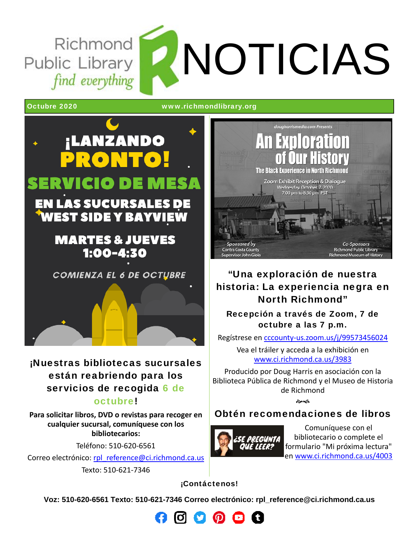Richmond Public Library find everything

NOTICIAS

Octubre 2020 www.richmondlibrary.org



¡Nuestras bibliotecas sucursales están reabriendo para los servicios de recogida 6 de

#### octubre!

**Para solicitar libros, DVD o revistas para recoger en cualquier sucursal, comuníquese con los bibliotecarios:**

Teléfono: 510‐620‐6561

Correo electrónico: rpl\_reference@ci.richmond.ca.us Texto: 510‐621‐7346

The Black Experience in North Richmond Zoom Exhibit Reception & Dialogue Wednesday, October 7, 2020 7:00 pm to 8:30 pm PST Sponsored by **Co-Sponsors** Richmond Public Library **Contra Costa County** Supervisor John Gioia **Richmond Museum of Histor** 

## "Una exploración de nuestra historia: La experiencia negra en North Richmond"

Recepción a través de Zoom, 7 de octubre a las 7 p.m.

Regístrese en cccounty‐us.zoom.us/j/99573456024

Vea el tráiler y acceda a la exhibición en www.ci.richmond.ca.us/3983

Producido por Doug Harris en asociación con la Biblioteca Pública de Richmond y el Museo de Historia de Richmond

**Beach** 

## Obtén recomendaciones de libros



Comuníquese con el bibliotecario o complete el formulario "Mi próxima lectura" en www.ci.richmond.ca.us/4003

¡Contáctenos!

**Voz: 510-620-6561 Texto: 510-621-7346 Correo electrónico: rpl\_reference@ci.richmond.ca.us**